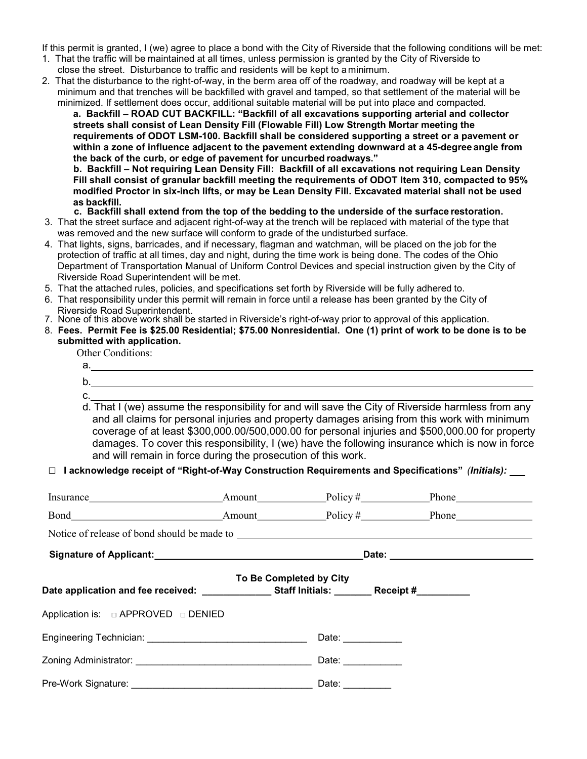If this permit is granted, I (we) agree to place a bond with the City of Riverside that the following conditions will be met:

- 1. That the traffic will be maintained at all times, unless permission is granted by the City of Riverside to close the street. Disturbance to traffic and residents will be kept to a minimum.
- 2. That the disturbance to the right-of-way, in the berm area off of the roadway, and roadway will be kept at a minimum and that trenches will be backfilled with gravel and tamped, so that settlement of the material will be minimized. If settlement does occur, additional suitable material will be put into place and compacted.

**a.** Backfill – ROAD CUT BACKFILL: "Backfill of all excavations supporting arterial and collector streets shall consist of Lean Density Fill (Flowable Fill) Low Strength Mortar meeting the requirements of ODOT LSM-100. Backfill shall be considered supporting a street or a pavement or within a zone of influence adjacent to the pavement extending downward at a 45-degree angle from the back of the curb, or edge of pavement for uncurbed roadways."

**b.** Backfill – Not requiring Lean Density Fill: Backfill of all excavations not requiring Lean Density Fill shall consist of granular backfill meeting the requirements of ODOT Item 310, compacted to 95% modified Proctor in six-inch lifts, or may be Lean Density Fill. Excavated material shall not be used as backfill.

- **c.** Backfill shall extend from the top of the bedding to the underside of the surface restoration.
- 3. That the street surface and adjacent right-of-way at the trench will be replaced with material of the type that was removed and the new surface will conform to grade of the undisturbed surface.
- 4. That lights, signs, barricades, and if necessary, flagman and watchman, will be placed on the job for the protection of traffic at all times, day and night, during the time work is being done. The codes of the Ohio Department of Transportation Manual of Uniform Control Devices and special instruction given by the City of Riverside Road Superintendent will be met.
- 5. That the attached rules, policies, and specifications set forth by Riverside will be fully adhered to.
- 6. That responsibility under this permit will remain in force until a release has been granted by the City of Riverside Road Superintendent.
- 7. None of this above work shall be started in Riverside's right-of-way prior to approval of this application.
- 8. Fees. Permit Fee is \$25.00 Residential; \$75.00 Nonresidential. **Work without permit is double permit fee. .** One (1) print of work to be done is to be submitted with application.
- Other Conditions:

|    | лиген сопситенти.                                                                                  |  |  |  |  |  |
|----|----------------------------------------------------------------------------------------------------|--|--|--|--|--|
| а. |                                                                                                    |  |  |  |  |  |
| b. |                                                                                                    |  |  |  |  |  |
| C. |                                                                                                    |  |  |  |  |  |
|    | d. That I (we) assume the responsibility for and will save the City of Riverside harmless from any |  |  |  |  |  |
|    | and all claims for personal injuries and property damages arising from this work with minimum      |  |  |  |  |  |
|    | coverage of at least \$300,000.00/500,000.00 for personal injuries and \$500,000.00 for property   |  |  |  |  |  |
|    | damages. To cover this responsibility, I (we) have the following insurance which is now in force   |  |  |  |  |  |

and will remain in force during the prosecution of this work.

## □ I acknowledge receipt of "Right-of-Way Construction Requirements and Specifications" (Initials):

| Insurance Amount Policy # Phone                                                             |  |                         |  |  |
|---------------------------------------------------------------------------------------------|--|-------------------------|--|--|
|                                                                                             |  |                         |  |  |
|                                                                                             |  |                         |  |  |
| Signature of Applicant: Signature of Applicant:                                             |  |                         |  |  |
| Date application and fee received: ______________Staff Initials: ________Receipt #_________ |  | To Be Completed by City |  |  |
| Application is: $\Box$ APPROVED $\Box$ DENIED                                               |  |                         |  |  |
|                                                                                             |  | Date: 2008              |  |  |
|                                                                                             |  | Date: <u>Date:</u>      |  |  |
|                                                                                             |  | Date: $\qquad \qquad$   |  |  |